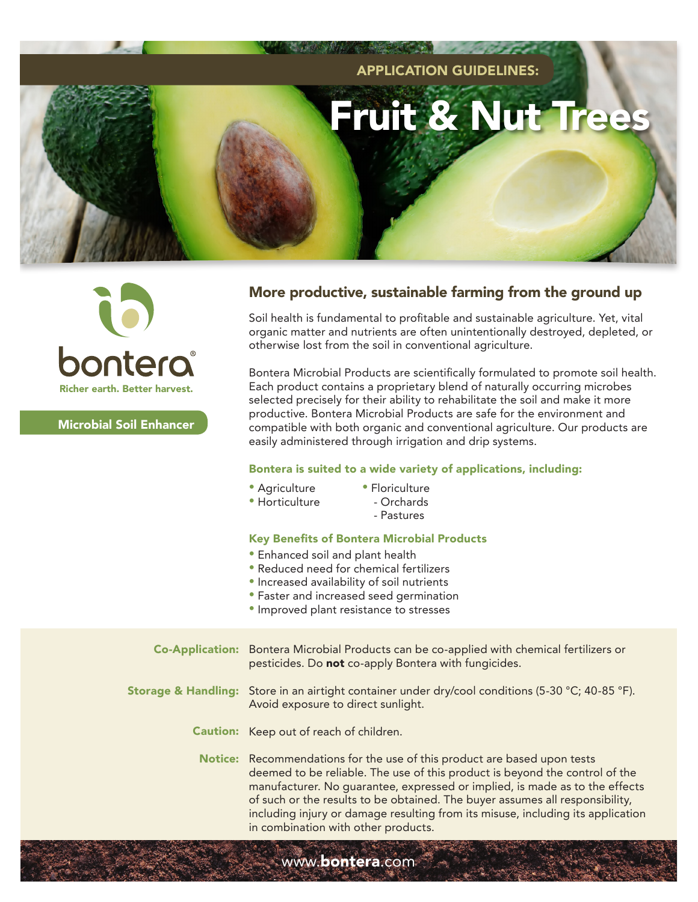



Microbial Soil Enhancer

## More productive, sustainable farming from the ground up

Soil health is fundamental to profitable and sustainable agriculture. Yet, vital organic matter and nutrients are often unintentionally destroyed, depleted, or otherwise lost from the soil in conventional agriculture.

Bontera Microbial Products are scientifically formulated to promote soil health. Each product contains a proprietary blend of naturally occurring microbes selected precisely for their ability to rehabilitate the soil and make it more productive. Bontera Microbial Products are safe for the environment and compatible with both organic and conventional agriculture. Our products are easily administered through irrigation and drip systems.

### Bontera is suited to a wide variety of applications, including:

- Agriculture
- Floriculture
- Horticulture
- Orchards
	- Pastures

### Key Benefits of Bontera Microbial Products

- Enhanced soil and plant health
- Reduced need for chemical fertilizers
- Increased availability of soil nutrients
- Faster and increased seed germination
- Improved plant resistance to stresses

www.**bontera**.com

Bontera Microbial Products can be co-applied with chemical fertilizers or pesticides. Do not co-apply Bontera with fungicides. **Storage & Handling:** Store in an airtight container under dry/cool conditions (5-30 °C; 40-85 °F). Avoid exposure to direct sunlight. **Caution:** Keep out of reach of children. **Notice:** Recommendations for the use of this product are based upon tests deemed to be reliable. The use of this product is beyond the control of the manufacturer. No guarantee, expressed or implied, is made as to the effects of such or the results to be obtained. The buyer assumes all responsibility, including injury or damage resulting from its misuse, including its application in combination with other products. Co-Application: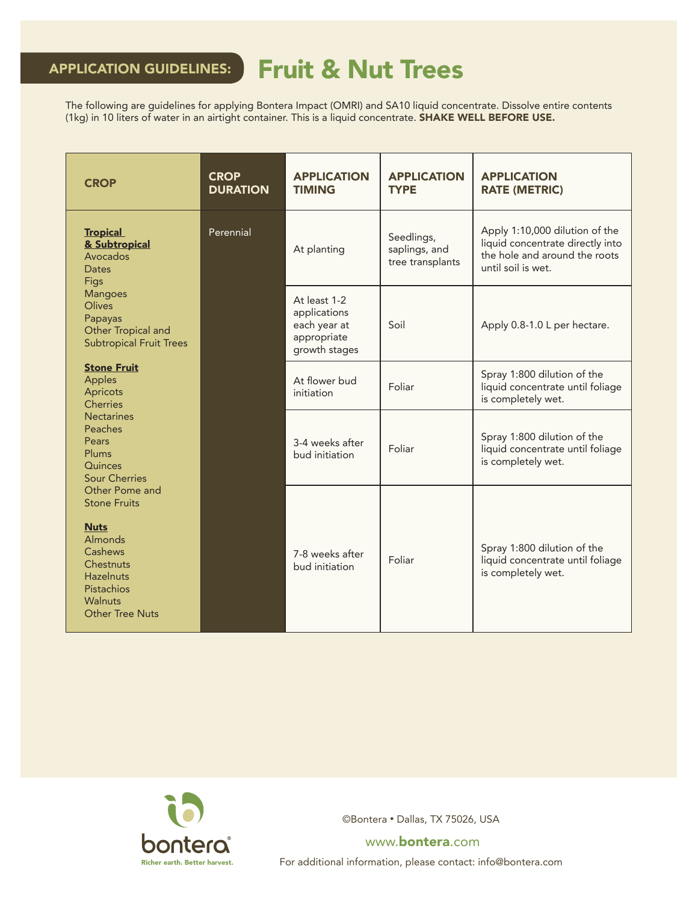# APPLICATION GUIDELINES: Fruit & Nut Trees

The following are guidelines for applying Bontera Impact (OMRI) and SA10 liquid concentrate. Dissolve entire contents (1kg) in 10 liters of water in an airtight container. This is a liquid concentrate. SHAKE WELL BEFORE USE.

| <b>CROP</b>                                                                                                                                                                                                                                                | <b>CROP</b><br><b>DURATION</b> | <b>APPLICATION</b><br><b>TIMING</b>                                          | <b>APPLICATION</b><br><b>TYPE</b>               | <b>APPLICATION</b><br><b>RATE (METRIC)</b>                                                                                |
|------------------------------------------------------------------------------------------------------------------------------------------------------------------------------------------------------------------------------------------------------------|--------------------------------|------------------------------------------------------------------------------|-------------------------------------------------|---------------------------------------------------------------------------------------------------------------------------|
| <b>Tropical</b><br>& Subtropical<br>Avocados<br><b>Dates</b><br>Figs<br><b>Mangoes</b><br><b>Olives</b><br>Papayas<br>Other Tropical and<br><b>Subtropical Fruit Trees</b>                                                                                 | Perennial                      | At planting                                                                  | Seedlings,<br>saplings, and<br>tree transplants | Apply 1:10,000 dilution of the<br>liquid concentrate directly into<br>the hole and around the roots<br>until soil is wet. |
|                                                                                                                                                                                                                                                            |                                | At least 1-2<br>applications<br>each year at<br>appropriate<br>growth stages | Soil                                            | Apply 0.8-1.0 L per hectare.                                                                                              |
| <b>Stone Fruit</b><br>Apples<br>Apricots<br><b>Cherries</b>                                                                                                                                                                                                |                                | At flower bud<br>initiation                                                  | Foliar                                          | Spray 1:800 dilution of the<br>liquid concentrate until foliage<br>is completely wet.                                     |
| <b>Nectarines</b><br>Peaches<br>Pears<br>Plums<br>Quinces<br><b>Sour Cherries</b><br>Other Pome and<br><b>Stone Fruits</b><br><b>Nuts</b><br><b>Almonds</b><br>Cashews<br>Chestnuts<br><b>Hazelnuts</b><br>Pistachios<br>Walnuts<br><b>Other Tree Nuts</b> |                                | 3-4 weeks after<br>bud initiation                                            | Foliar                                          | Spray 1:800 dilution of the<br>liquid concentrate until foliage<br>is completely wet.                                     |
|                                                                                                                                                                                                                                                            |                                | 7-8 weeks after<br>bud initiation                                            | Foliar                                          | Spray 1:800 dilution of the<br>liquid concentrate until foliage<br>is completely wet.                                     |



©Bontera • Dallas, TX 75026, USA

www.bontera.com

For additional information, please contact: info@bontera.com